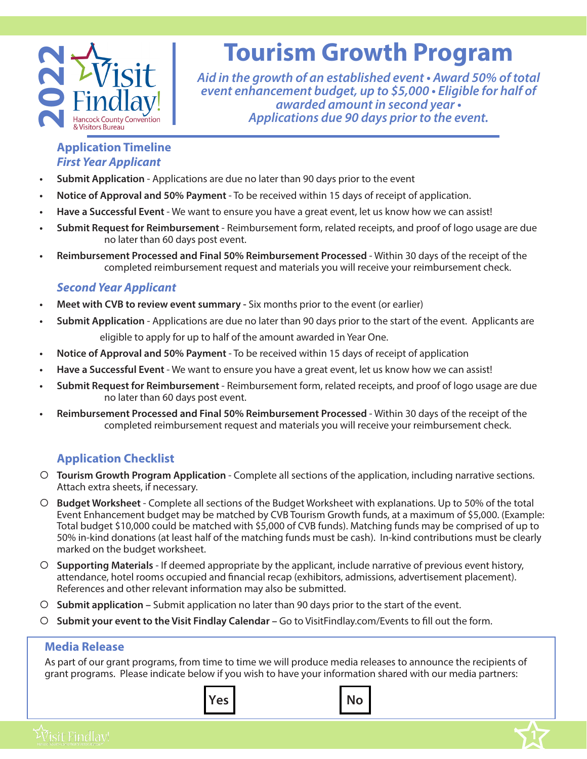

# **Tourism Growth Program**

*Aid in the growth of an established event • Award 50% of total event enhancement budget, up to \$5,000 • Eligible for half of awarded amount in second year • Applications due 90 days prior to the event.*

#### **Application Timeline**  *First Year Applicant*

- **• Submit Application**  Applications are due no later than 90 days prior to the event
- **• Notice of Approval and 50% Payment**  To be received within 15 days of receipt of application.
- **• Have a Successful Event**  We want to ensure you have a great event, let us know how we can assist!
- **• Submit Request for Reimbursement**  Reimbursement form, related receipts, and proof of logo usage are due no later than 60 days post event.
- **• Reimbursement Processed and Final 50% Reimbursement Processed**  Within 30 days of the receipt of the completed reimbursement request and materials you will receive your reimbursement check.

### *Second Year Applicant*

- **• Meet with CVB to review event summary** Six months prior to the event (or earlier)
- **• Submit Application**  Applications are due no later than 90 days prior to the start of the event. Applicants are eligible to apply for up to half of the amount awarded in Year One.
- **• Notice of Approval and 50% Payment**  To be received within 15 days of receipt of application
- **• Have a Successful Event**  We want to ensure you have a great event, let us know how we can assist!
- **• Submit Request for Reimbursement**  Reimbursement form, related receipts, and proof of logo usage are due no later than 60 days post event.
- **• Reimbursement Processed and Final 50% Reimbursement Processed**  Within 30 days of the receipt of the completed reimbursement request and materials you will receive your reimbursement check.

## **Application Checklist**

- { **Tourism Growth Program Application**  Complete all sections of the application, including narrative sections. Attach extra sheets, if necessary.
- { **Budget Worksheet** Complete all sections of the Budget Worksheet with explanations. Up to 50% of the total Event Enhancement budget may be matched by CVB Tourism Growth funds, at a maximum of \$5,000. (Example: Total budget \$10,000 could be matched with \$5,000 of CVB funds). Matching funds may be comprised of up to 50% in-kind donations (at least half of the matching funds must be cash). In-kind contributions must be clearly marked on the budget worksheet.
- { **Supporting Materials** If deemed appropriate by the applicant, include narrative of previous event history, attendance, hotel rooms occupied and financial recap (exhibitors, admissions, advertisement placement). References and other relevant information may also be submitted.
- { **Submit application** Submit application no later than 90 days prior to the start of the event.
- { **Submit your event to the Visit Findlay Calendar –** Go to VisitFindlay.com/Events to fill out the form.

#### **Media Release**

As part of our grant programs, from time to time we will produce media releases to announce the recipients of grant programs. Please indicate below if you wish to have your information shared with our media partners: